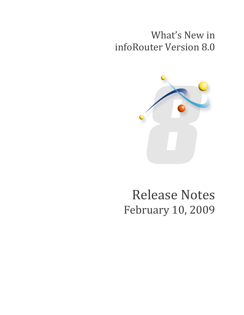## What's New in infoRouter Version 8.0



# Release Notes February 10, 2009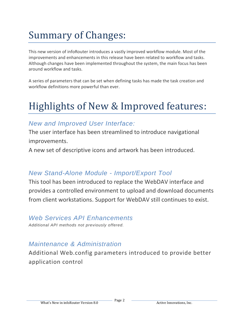## Summary of Changes:

This new version of infoRouter introduces a vastly improved workflow module. Most of the improvements and enhancements in this release have been related to workflow and tasks. Although changes have been implemented throughout the system, the main focus has been around workflow and tasks.

A series of parameters that can be set when defining tasks has made the task creation and workflow definitions more powerful than ever.

## Highlights of New & Improved features:

## *New and Improved User Interface:*

The user interface has been streamlined to introduce navigational improvements.

A new set of descriptive icons and artwork has been introduced*.*

## *New Stand-Alone Module - Import/Export Tool*

This tool has been introduced to replace the WebDAV interface and provides a controlled environment to upload and download documents from client workstations. Support for WebDAV still continues to exist.

### *Web Services API Enhancements*

*Additional API methods not previously offered.*

## *Maintenance & Administration*

Additional Web.config parameters introduced to provide better application control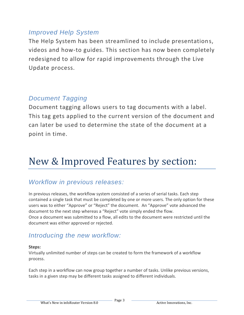## *Improved Help System*

The Help System has been streamlined to include presentations, videos and how-to guides. This section has now been completely redesigned to allow for rapid improvements through the Live Update process.

## *Document Tagging*

Document tagging allows users to tag documents with a label. This tag gets applied to the current version of the document and can later be used to determine the state of the document at a point in time.

## New & Improved Features by section:

## *Workflow in previous releases:*

In previous releases, the workflow system consisted of a series of serial tasks. Each step contained a single task that must be completed by one or more users. The only option for these users was to either "Approve" or "Reject" the document. An "Approve" vote advanced the document to the next step whereas a "Reject" vote simply ended the flow. Once a document was submitted to a flow, all edits to the document were restricted until the document was either approved or rejected.

## *Introducing the new workflow:*

#### **Steps:**

Virtually unlimited number of steps can be created to form the framework of a workflow process.

Each step in a workflow can now group together a number of tasks. Unlike previous versions, tasks in a given step may be different tasks assigned to different individuals.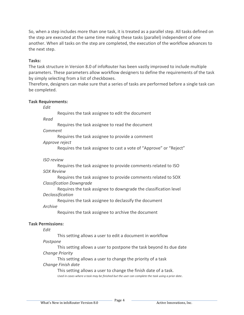So, when a step includes more than one task, it is treated as a parallel step. All tasks defined on the step are executed at the same time making these tasks (parallel) independent of one another. When all tasks on the step are completed, the execution of the workflow advances to the next step.

#### **Tasks:**

The task structure in Version 8.0 of infoRouter has been vastly improved to include multiple parameters. These parameters allow workflow designers to define the requirements of the task by simply selecting from a list of checkboxes.

Therefore, designers can make sure that a series of tasks are performed before a single task can be completed.

#### **Task Requirements:**

*Edit*

Requires the task assignee to edit the document

*Read*

Requires the task assignee to read the document

*Comment*

Requires the task assignee to provide a comment

*Approve reject*

Requires the task assignee to cast a vote of "Approve" or "Reject"

#### *ISO review*

Requires the task assignee to provide comments related to ISO *SOX Review*

Requires the task assignee to provide comments related to SOX *Classification Downgrade*

Requires the task assignee to downgrade the classification level *Declassification*

Requires the task assignee to declassify the document

#### *Archive*

Requires the task assignee to archive the document

#### **Task Permissions:**

*Edit*

This setting allows a user to edit a document in workflow

#### *Postpone*

This setting allows a user to postpone the task beyond its due date *Change Priority*

This setting allows a user to change the priority of a task *Change Finish date*

> This setting allows a user to change the finish date of a task. *Used in cases where a task may be finished but the user can complete the task using a prior date*.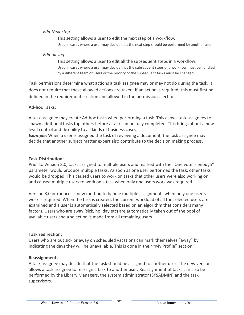#### *Edit Next step*

This setting allows a user to edit the next step of a workflow. Used in cases where a user may decide that the next step should be performed by another user

#### *Edit all steps*

This setting allows a user to edit all the subsequent steps in a workflow. Used in cases where a user may decide that the subsequent steps of a workflow must be handled by a different team of users or the priority of the subsequent tasks must be changed.

Task permissions determine what actions a task assignee may or may not do during the task. It does not require that these allowed actions are taken. If an action is required, this must first be defined in the requirements section and allowed in the permissions section.

#### **Ad-hoc Tasks:**

A task assignee may create Ad-hoc tasks when performing a task. This allows task assignees to spawn additional tasks top others before a task can be fully completed. This brings about a new level control and flexibility to all kinds of business cases.

**Example:** When a user is assigned the task of reviewing a document, the task assignee may decide that another subject matter expert also contribute to the decision making process.

#### **Task Distribution:**

Prior to Version 8.0, tasks assigned to multiple users and marked with the "One vote is enough" parameter would produce multiple tasks. As soon as one user performed the task, other tasks would be dropped. This caused users to work on tasks that other users were also working on and caused multiple users to work on a task when only one users work was required.

Version 8.0 introduces a new method to handle multiple assignments when only one user's work is required. When the task is created, the current workload of all the selected users are examined and a user is automatically selected based on an algorithm that considers many factors. Users who are away (sick, holiday etc) are automatically taken out of the pool of available users and a selection is made from all remaining users.

#### **Task redirection:**

Users who are out sick or away on scheduled vacations can mark themselves "away" by indicating the days they will be unavailable. This is done in their "My Profile" section.

#### **Reassignments:**

A task assignee may decide that the task should be assigned to another user. The new version allows a task assignee to reassign a task to another user. Reassignment of tasks can also be performed by the Library Managers, the system administrator (SYSADMIN) and the task supervisors.